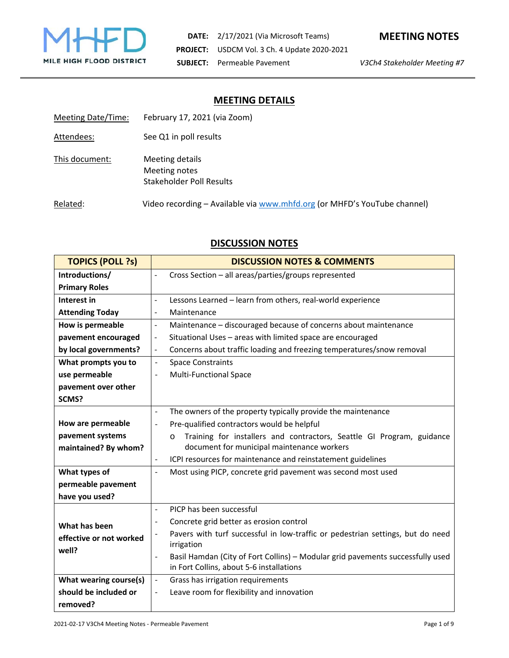

# **MEETING DETAILS**

| Meeting Date/Time: | February 17, 2021 (via Zoom)                                             |
|--------------------|--------------------------------------------------------------------------|
| Attendees:         | See Q1 in poll results                                                   |
| This document:     | Meeting details<br>Meeting notes<br>Stakeholder Poll Results             |
| Related:           | Video recording - Available via www.mhfd.org (or MHFD's YouTube channel) |

# **DISCUSSION NOTES**

| <b>TOPICS (POLL ?s)</b> | <b>DISCUSSION NOTES &amp; COMMENTS</b>                                                                                                             |  |
|-------------------------|----------------------------------------------------------------------------------------------------------------------------------------------------|--|
| Introductions/          | Cross Section - all areas/parties/groups represented<br>$\overline{a}$                                                                             |  |
| <b>Primary Roles</b>    |                                                                                                                                                    |  |
| Interest in             | $\overline{a}$<br>Lessons Learned - learn from others, real-world experience                                                                       |  |
| <b>Attending Today</b>  | Maintenance<br>$\blacksquare$                                                                                                                      |  |
| How is permeable        | Maintenance - discouraged because of concerns about maintenance<br>$\blacksquare$                                                                  |  |
| pavement encouraged     | Situational Uses - areas with limited space are encouraged<br>$\frac{1}{2}$                                                                        |  |
| by local governments?   | Concerns about traffic loading and freezing temperatures/snow removal<br>$\blacksquare$                                                            |  |
| What prompts you to     | <b>Space Constraints</b><br>$\Box$                                                                                                                 |  |
| use permeable           | <b>Multi-Functional Space</b>                                                                                                                      |  |
| pavement over other     |                                                                                                                                                    |  |
| SCMS?                   |                                                                                                                                                    |  |
|                         | The owners of the property typically provide the maintenance<br>ä,                                                                                 |  |
| How are permeable       | Pre-qualified contractors would be helpful                                                                                                         |  |
| pavement systems        | Training for installers and contractors, Seattle GI Program, guidance<br>$\circ$                                                                   |  |
| maintained? By whom?    | document for municipal maintenance workers                                                                                                         |  |
|                         | ICPI resources for maintenance and reinstatement guidelines<br>$\blacksquare$                                                                      |  |
| What types of           | Most using PICP, concrete grid pavement was second most used<br>$\overline{a}$                                                                     |  |
| permeable pavement      |                                                                                                                                                    |  |
| have you used?          |                                                                                                                                                    |  |
|                         | PICP has been successful<br>$\blacksquare$                                                                                                         |  |
| What has been           | Concrete grid better as erosion control                                                                                                            |  |
| effective or not worked | Pavers with turf successful in low-traffic or pedestrian settings, but do need                                                                     |  |
| well?                   | irrigation                                                                                                                                         |  |
|                         | Basil Hamdan (City of Fort Collins) - Modular grid pavements successfully used<br>$\ddot{\phantom{1}}$<br>in Fort Collins, about 5-6 installations |  |
| What wearing course(s)  | Grass has irrigation requirements<br>$\blacksquare$                                                                                                |  |
| should be included or   | Leave room for flexibility and innovation                                                                                                          |  |
| removed?                |                                                                                                                                                    |  |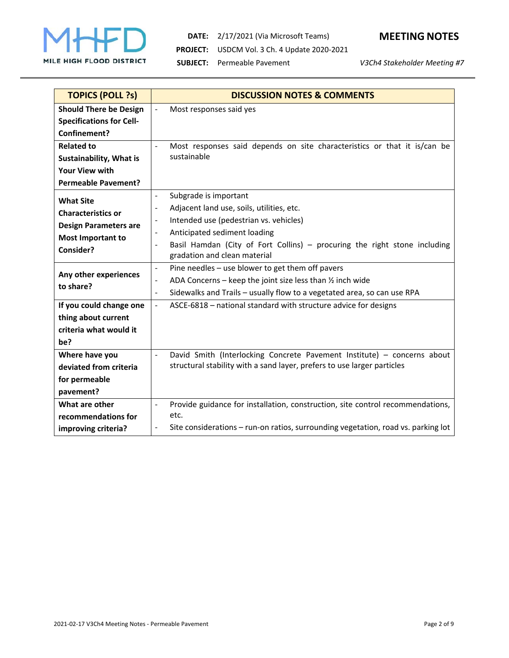

**DATE:** 2/17/2021 (Via Microsoft Teams) **MEETING NOTES PROJECT:** USDCM Vol. 3 Ch. 4 Update 2020-2021 **SUBJECT:** Permeable Pavement *V3Ch4 Stakeholder Meeting #7*



| <b>TOPICS (POLL ?s)</b>         | <b>DISCUSSION NOTES &amp; COMMENTS</b>                                                                        |
|---------------------------------|---------------------------------------------------------------------------------------------------------------|
| <b>Should There be Design</b>   | $\overline{a}$<br>Most responses said yes                                                                     |
| <b>Specifications for Cell-</b> |                                                                                                               |
| Confinement?                    |                                                                                                               |
| <b>Related to</b>               | Most responses said depends on site characteristics or that it is/can be<br>$\overline{a}$                    |
| Sustainability, What is         | sustainable                                                                                                   |
| <b>Your View with</b>           |                                                                                                               |
| <b>Permeable Pavement?</b>      |                                                                                                               |
| <b>What Site</b>                | Subgrade is important<br>$\blacksquare$                                                                       |
| <b>Characteristics or</b>       | Adjacent land use, soils, utilities, etc.<br>$\blacksquare$                                                   |
| <b>Design Parameters are</b>    | Intended use (pedestrian vs. vehicles)                                                                        |
| <b>Most Important to</b>        | Anticipated sediment loading<br>$\blacksquare$                                                                |
| Consider?                       | Basil Hamdan (City of Fort Collins) – procuring the right stone including<br>$\overline{\phantom{a}}$         |
|                                 | gradation and clean material                                                                                  |
| Any other experiences           | Pine needles - use blower to get them off pavers<br>$\frac{1}{2}$                                             |
| to share?                       | ADA Concerns – keep the joint size less than $\frac{1}{2}$ inch wide<br>$\overline{\phantom{a}}$              |
|                                 | Sidewalks and Trails - usually flow to a vegetated area, so can use RPA<br>$\blacksquare$                     |
| If you could change one         | ASCE-6818 - national standard with structure advice for designs<br>$\bar{\phantom{a}}$                        |
| thing about current             |                                                                                                               |
| criteria what would it          |                                                                                                               |
| be?                             |                                                                                                               |
| Where have you                  | David Smith (Interlocking Concrete Pavement Institute) - concerns about<br>$\blacksquare$                     |
| deviated from criteria          | structural stability with a sand layer, prefers to use larger particles                                       |
| for permeable                   |                                                                                                               |
| pavement?                       |                                                                                                               |
| What are other                  | Provide guidance for installation, construction, site control recommendations,<br>$\overline{a}$              |
| recommendations for             | etc.                                                                                                          |
| improving criteria?             | Site considerations - run-on ratios, surrounding vegetation, road vs. parking lot<br>$\overline{\phantom{0}}$ |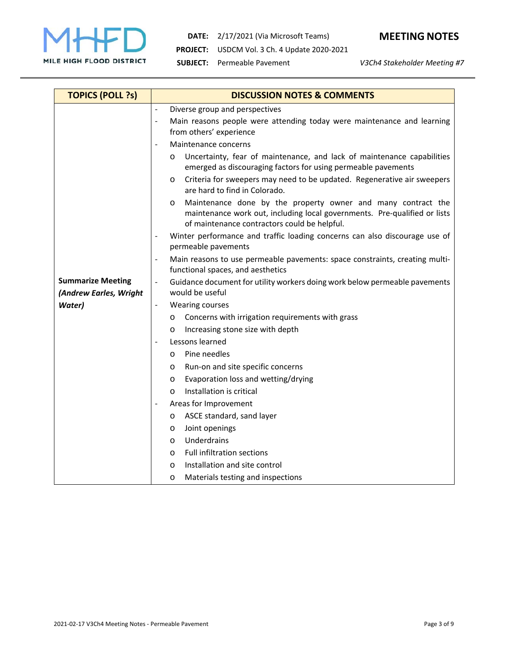

**DATE:** 2/17/2021 (Via Microsoft Teams) **MEETING NOTES PROJECT:** USDCM Vol. 3 Ch. 4 Update 2020-2021

**SUBJECT:** Permeable Pavement *V3Ch4 Stakeholder Meeting #7*

| <b>TOPICS (POLL ?s)</b>                            | <b>DISCUSSION NOTES &amp; COMMENTS</b>                                                                                                                                                         |  |
|----------------------------------------------------|------------------------------------------------------------------------------------------------------------------------------------------------------------------------------------------------|--|
|                                                    | Diverse group and perspectives<br>$\blacksquare$                                                                                                                                               |  |
|                                                    | Main reasons people were attending today were maintenance and learning<br>$\overline{a}$<br>from others' experience                                                                            |  |
|                                                    | Maintenance concerns                                                                                                                                                                           |  |
|                                                    | Uncertainty, fear of maintenance, and lack of maintenance capabilities<br>O<br>emerged as discouraging factors for using permeable pavements                                                   |  |
|                                                    | Criteria for sweepers may need to be updated. Regenerative air sweepers<br>O<br>are hard to find in Colorado.                                                                                  |  |
|                                                    | Maintenance done by the property owner and many contract the<br>O<br>maintenance work out, including local governments. Pre-qualified or lists<br>of maintenance contractors could be helpful. |  |
|                                                    | Winter performance and traffic loading concerns can also discourage use of<br>$\overline{a}$<br>permeable pavements                                                                            |  |
|                                                    | Main reasons to use permeable pavements: space constraints, creating multi-<br>$\overline{a}$<br>functional spaces, and aesthetics                                                             |  |
| <b>Summarize Meeting</b><br>(Andrew Earles, Wright | Guidance document for utility workers doing work below permeable pavements<br>would be useful                                                                                                  |  |
| Water)                                             | <b>Wearing courses</b><br>$\frac{1}{2}$                                                                                                                                                        |  |
|                                                    | Concerns with irrigation requirements with grass<br>O                                                                                                                                          |  |
|                                                    | Increasing stone size with depth<br>O                                                                                                                                                          |  |
|                                                    | Lessons learned<br>$\overline{a}$                                                                                                                                                              |  |
|                                                    | Pine needles<br>$\circ$                                                                                                                                                                        |  |
|                                                    | Run-on and site specific concerns<br>O                                                                                                                                                         |  |
|                                                    | Evaporation loss and wetting/drying<br>O                                                                                                                                                       |  |
|                                                    | Installation is critical<br>$\Omega$                                                                                                                                                           |  |
|                                                    | Areas for Improvement                                                                                                                                                                          |  |
|                                                    | ASCE standard, sand layer<br>O                                                                                                                                                                 |  |
|                                                    | Joint openings<br>O                                                                                                                                                                            |  |
|                                                    | Underdrains<br>O                                                                                                                                                                               |  |
|                                                    | <b>Full infiltration sections</b><br>O                                                                                                                                                         |  |
|                                                    | Installation and site control<br>O                                                                                                                                                             |  |
|                                                    | Materials testing and inspections<br>$\circ$                                                                                                                                                   |  |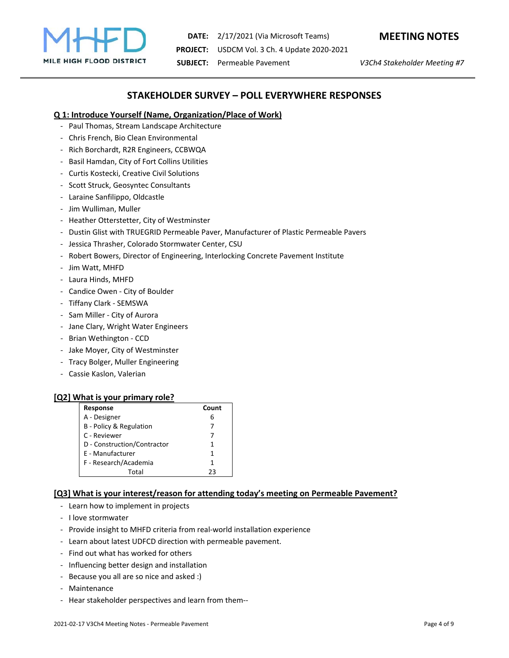

**DATE:** 2/17/2021 (Via Microsoft Teams) **MEETING NOTES PROJECT:** USDCM Vol. 3 Ch. 4 Update 2020-2021 **SUBJECT:** Permeable Pavement *V3Ch4 Stakeholder Meeting #7*

## **STAKEHOLDER SURVEY – POLL EVERYWHERE RESPONSES**

### **Q 1: Introduce Yourself (Name, Organization/Place of Work)**

- Paul Thomas, Stream Landscape Architecture
- Chris French, Bio Clean Environmental
- Rich Borchardt, R2R Engineers, CCBWQA
- Basil Hamdan, City of Fort Collins Utilities
- Curtis Kostecki, Creative Civil Solutions
- Scott Struck, Geosyntec Consultants
- Laraine Sanfilippo, Oldcastle
- Jim Wulliman, Muller
- Heather Otterstetter, City of Westminster
- Dustin Glist with TRUEGRID Permeable Paver, Manufacturer of Plastic Permeable Pavers
- Jessica Thrasher, Colorado Stormwater Center, CSU
- Robert Bowers, Director of Engineering, Interlocking Concrete Pavement Institute
- Jim Watt, MHFD
- Laura Hinds, MHFD
- Candice Owen City of Boulder
- Tiffany Clark SEMSWA
- Sam Miller City of Aurora
- Jane Clary, Wright Water Engineers
- Brian Wethington CCD
- Jake Moyer, City of Westminster
- Tracy Bolger, Muller Engineering
- Cassie Kaslon, Valerian

#### **[Q2] What is your primary role?**

| Response                    | Count |
|-----------------------------|-------|
| A - Designer                | 6     |
| B - Policy & Regulation     |       |
| C - Reviewer                |       |
| D - Construction/Contractor | 1     |
| <b>F</b> - Manufacturer     | 1     |
| F - Research/Academia       | 1     |
| Total                       | つっ    |

## **[Q3] What is your interest/reason for attending today's meeting on Permeable Pavement?**

- Learn how to implement in projects
- I love stormwater
- Provide insight to MHFD criteria from real-world installation experience
- Learn about latest UDFCD direction with permeable pavement.
- Find out what has worked for others
- Influencing better design and installation
- Because you all are so nice and asked :)
- Maintenance
- Hear stakeholder perspectives and learn from them--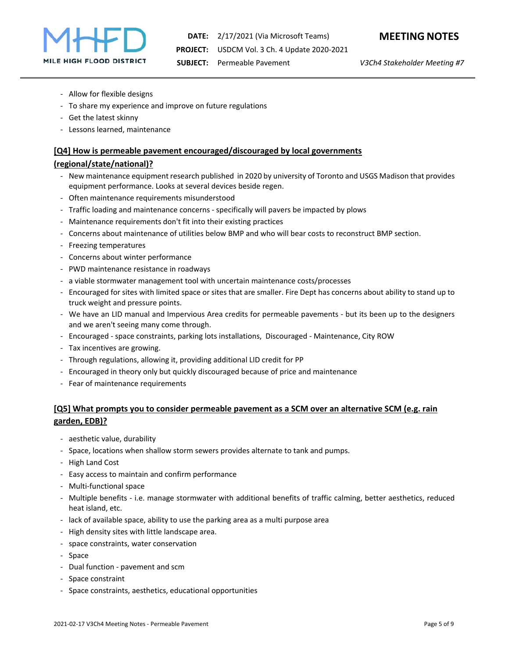

- Allow for flexible designs
- To share my experience and improve on future regulations
- Get the latest skinny
- Lessons learned, maintenance

#### **[Q4] How is permeable pavement encouraged/discouraged by local governments**

#### **(regional/state/national)?**

- New maintenance equipment research published in 2020 by university of Toronto and USGS Madison that provides equipment performance. Looks at several devices beside regen.
- Often maintenance requirements misunderstood
- Traffic loading and maintenance concerns specifically will pavers be impacted by plows
- Maintenance requirements don't fit into their existing practices
- Concerns about maintenance of utilities below BMP and who will bear costs to reconstruct BMP section.
- Freezing temperatures
- Concerns about winter performance
- PWD maintenance resistance in roadways
- a viable stormwater management tool with uncertain maintenance costs/processes
- Encouraged for sites with limited space or sites that are smaller. Fire Dept has concerns about ability to stand up to truck weight and pressure points.
- We have an LID manual and Impervious Area credits for permeable pavements but its been up to the designers and we aren't seeing many come through.
- Encouraged space constraints, parking lots installations, Discouraged Maintenance, City ROW
- Tax incentives are growing.
- Through regulations, allowing it, providing additional LID credit for PP
- Encouraged in theory only but quickly discouraged because of price and maintenance
- Fear of maintenance requirements

## **[Q5] What prompts you to consider permeable pavement as a SCM over an alternative SCM (e.g. rain garden, EDB)?**

- aesthetic value, durability
- Space, locations when shallow storm sewers provides alternate to tank and pumps.
- High Land Cost
- Easy access to maintain and confirm performance
- Multi-functional space
- Multiple benefits i.e. manage stormwater with additional benefits of traffic calming, better aesthetics, reduced heat island, etc.
- lack of available space, ability to use the parking area as a multi purpose area
- High density sites with little landscape area.
- space constraints, water conservation
- Space
- Dual function pavement and scm
- Space constraint
- Space constraints, aesthetics, educational opportunities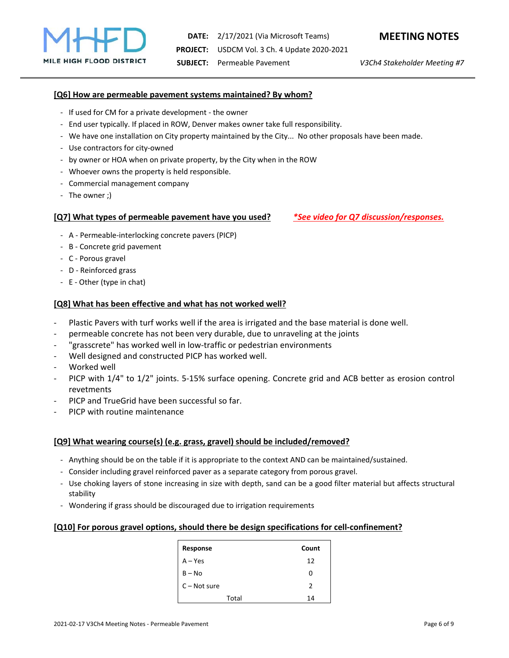## **[Q6] How are permeable pavement systems maintained? By whom?**

- If used for CM for a private development the owner
- End user typically. If placed in ROW, Denver makes owner take full responsibility.
- We have one installation on City property maintained by the City... No other proposals have been made.
- Use contractors for city-owned
- by owner or HOA when on private property, by the City when in the ROW
- Whoever owns the property is held responsible.
- Commercial management company
- The owner ;)

#### **[Q7] What types of permeable pavement have you used?** *\*See video for Q7 discussion/responses.*

- A Permeable-interlocking concrete pavers (PICP)
- B Concrete grid pavement
- C Porous gravel
- D Reinforced grass
- E Other (type in chat)

## **[Q8] What has been effective and what has not worked well?**

- Plastic Pavers with turf works well if the area is irrigated and the base material is done well.
- permeable concrete has not been very durable, due to unraveling at the joints
- "grasscrete" has worked well in low-traffic or pedestrian environments
- Well designed and constructed PICP has worked well.
- Worked well
- PICP with  $1/4$ " to  $1/2$ " joints. 5-15% surface opening. Concrete grid and ACB better as erosion control revetments
- PICP and TrueGrid have been successful so far.
- PICP with routine maintenance

## **[Q9] What wearing course(s) (e.g. grass, gravel) should be included/removed?**

- Anything should be on the table if it is appropriate to the context AND can be maintained/sustained.
- Consider including gravel reinforced paver as a separate category from porous gravel.
- Use choking layers of stone increasing in size with depth, sand can be a good filter material but affects structural stability
- Wondering if grass should be discouraged due to irrigation requirements

## **[Q10] For porous gravel options, should there be design specifications for cell-confinement?**

| Response       | Count         |
|----------------|---------------|
| $A - Yes$      | 12            |
| $B - No$       | ი             |
| $C - Not sure$ | $\mathcal{P}$ |
| Total          | 14            |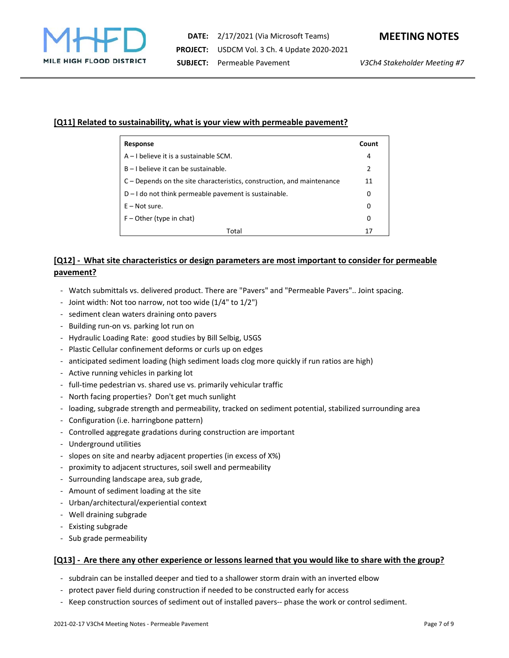

### **[Q11] Related to sustainability, what is your view with permeable pavement?**

| Response                                                               |    |
|------------------------------------------------------------------------|----|
| $A - I$ believe it is a sustainable SCM.                               |    |
| $B - I$ believe it can be sustainable.                                 |    |
| C – Depends on the site characteristics, construction, and maintenance |    |
| $D - I$ do not think permeable pavement is sustainable.                |    |
| $E - Not sure.$                                                        | 0  |
| $F -$ Other (type in chat)                                             | 0  |
| Total                                                                  | 17 |

## **[Q12] - What site characteristics or design parameters are most important to consider for permeable pavement?**

- Watch submittals vs. delivered product. There are "Pavers" and "Permeable Pavers".. Joint spacing.
- Joint width: Not too narrow, not too wide (1/4" to 1/2")
- sediment clean waters draining onto pavers
- Building run-on vs. parking lot run on
- Hydraulic Loading Rate: good studies by Bill Selbig, USGS
- Plastic Cellular confinement deforms or curls up on edges
- anticipated sediment loading (high sediment loads clog more quickly if run ratios are high)
- Active running vehicles in parking lot
- full-time pedestrian vs. shared use vs. primarily vehicular traffic
- North facing properties? Don't get much sunlight
- loading, subgrade strength and permeability, tracked on sediment potential, stabilized surrounding area
- Configuration (i.e. harringbone pattern)
- Controlled aggregate gradations during construction are important
- Underground utilities
- slopes on site and nearby adjacent properties (in excess of X%)
- proximity to adjacent structures, soil swell and permeability
- Surrounding landscape area, sub grade,
- Amount of sediment loading at the site
- Urban/architectural/experiential context
- Well draining subgrade
- Existing subgrade
- Sub grade permeability

#### **[Q13] - Are there any other experience or lessons learned that you would like to share with the group?**

- subdrain can be installed deeper and tied to a shallower storm drain with an inverted elbow
- protect paver field during construction if needed to be constructed early for access
- Keep construction sources of sediment out of installed pavers-- phase the work or control sediment.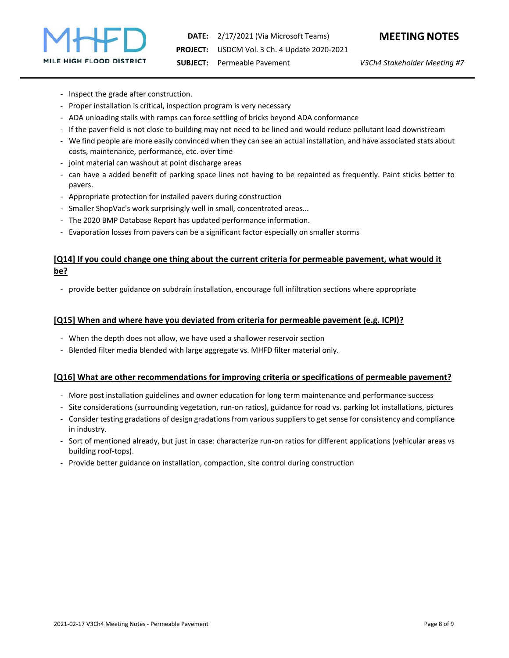

- Inspect the grade after construction.
- Proper installation is critical, inspection program is very necessary
- ADA unloading stalls with ramps can force settling of bricks beyond ADA conformance
- If the paver field is not close to building may not need to be lined and would reduce pollutant load downstream
- We find people are more easily convinced when they can see an actual installation, and have associated stats about costs, maintenance, performance, etc. over time
- joint material can washout at point discharge areas
- can have a added benefit of parking space lines not having to be repainted as frequently. Paint sticks better to pavers.
- Appropriate protection for installed pavers during construction
- Smaller ShopVac's work surprisingly well in small, concentrated areas...
- The 2020 BMP Database Report has updated performance information.
- Evaporation losses from pavers can be a significant factor especially on smaller storms

## **[Q14] If you could change one thing about the current criteria for permeable pavement, what would it be?**

- provide better guidance on subdrain installation, encourage full infiltration sections where appropriate

#### **[Q15] When and where have you deviated from criteria for permeable pavement (e.g. ICPI)?**

- When the depth does not allow, we have used a shallower reservoir section
- Blended filter media blended with large aggregate vs. MHFD filter material only.

## **[Q16] What are other recommendations for improving criteria or specifications of permeable pavement?**

- More post installation guidelines and owner education for long term maintenance and performance success
- Site considerations (surrounding vegetation, run-on ratios), guidance for road vs. parking lot installations, pictures
- Consider testing gradations of design gradations from various suppliers to get sense for consistency and compliance in industry.
- Sort of mentioned already, but just in case: characterize run-on ratios for different applications (vehicular areas vs building roof-tops).
- Provide better guidance on installation, compaction, site control during construction